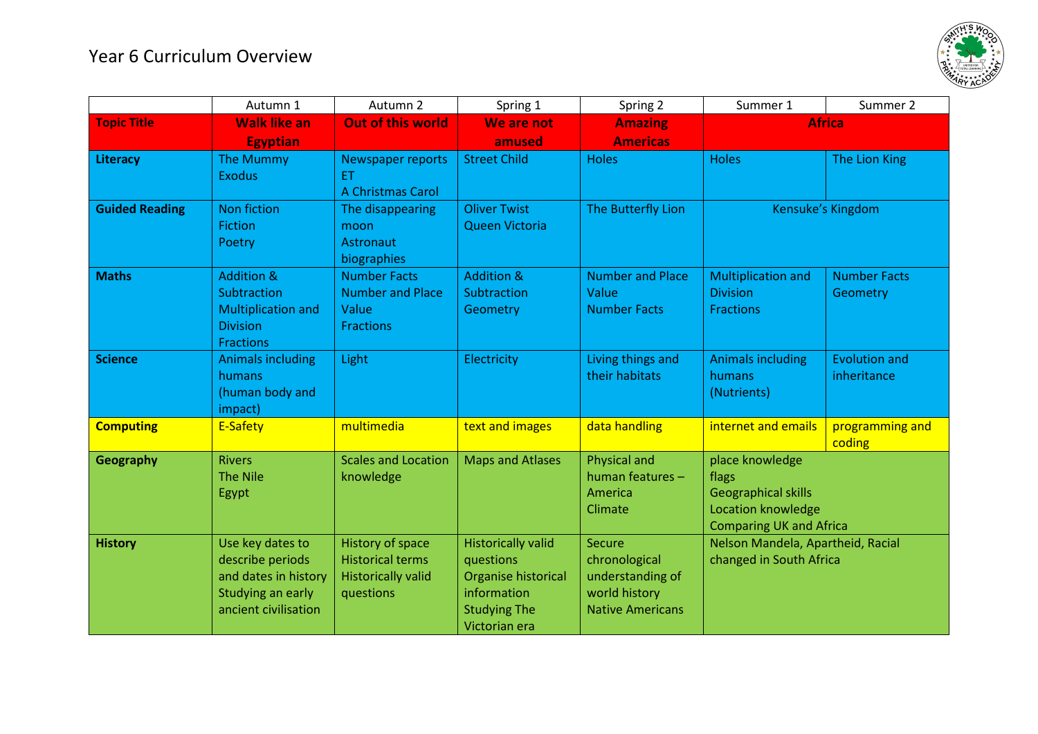## Year 6 Curriculum Overview



|                       | Autumn 1                            | Autumn 2                   | Spring 1                  | Spring 2                            | Summer 1                                                     | Summer 2             |  |
|-----------------------|-------------------------------------|----------------------------|---------------------------|-------------------------------------|--------------------------------------------------------------|----------------------|--|
| <b>Topic Title</b>    | <b>Walk like an</b>                 | <b>Out of this world</b>   | We are not                | <b>Amazing</b>                      | <b>Africa</b>                                                |                      |  |
|                       | <b>Egyptian</b>                     |                            | amused                    | <b>Americas</b>                     |                                                              |                      |  |
| Literacy              | <b>The Mummy</b>                    | Newspaper reports          | <b>Street Child</b>       | <b>Holes</b>                        | <b>Holes</b>                                                 | The Lion King        |  |
|                       | <b>Exodus</b>                       | <b>ET</b>                  |                           |                                     |                                                              |                      |  |
|                       |                                     | A Christmas Carol          |                           |                                     |                                                              |                      |  |
| <b>Guided Reading</b> | <b>Non fiction</b>                  | The disappearing           | <b>Oliver Twist</b>       | The Butterfly Lion                  | Kensuke's Kingdom                                            |                      |  |
|                       | <b>Fiction</b>                      | moon                       | Queen Victoria            |                                     |                                                              |                      |  |
|                       | Poetry                              | Astronaut                  |                           |                                     |                                                              |                      |  |
|                       |                                     | biographies                |                           |                                     |                                                              |                      |  |
| <b>Maths</b>          | <b>Addition &amp;</b>               | <b>Number Facts</b>        | <b>Addition &amp;</b>     | <b>Number and Place</b>             | <b>Multiplication and</b>                                    | <b>Number Facts</b>  |  |
|                       | Subtraction                         | <b>Number and Place</b>    | Subtraction               | Value                               | <b>Division</b>                                              | Geometry             |  |
|                       | <b>Multiplication and</b>           | Value                      | Geometry                  | <b>Number Facts</b>                 | <b>Fractions</b>                                             |                      |  |
|                       | <b>Division</b><br><b>Fractions</b> | <b>Fractions</b>           |                           |                                     |                                                              |                      |  |
| <b>Science</b>        |                                     |                            | Electricity               |                                     |                                                              | <b>Evolution and</b> |  |
|                       | <b>Animals including</b><br>humans  | Light                      |                           | Living things and<br>their habitats | <b>Animals including</b><br>humans                           | inheritance          |  |
|                       | (human body and                     |                            |                           |                                     | (Nutrients)                                                  |                      |  |
|                       | impact)                             |                            |                           |                                     |                                                              |                      |  |
| <b>Computing</b>      | E-Safety                            | multimedia                 | text and images           | data handling                       | internet and emails                                          | programming and      |  |
|                       |                                     |                            |                           |                                     |                                                              | coding               |  |
| <b>Geography</b>      | <b>Rivers</b>                       | <b>Scales and Location</b> | <b>Maps and Atlases</b>   | Physical and                        | place knowledge                                              |                      |  |
|                       | <b>The Nile</b>                     | knowledge                  |                           | human features -                    | flags                                                        |                      |  |
|                       | Egypt                               |                            |                           | America                             | <b>Geographical skills</b>                                   |                      |  |
|                       |                                     |                            |                           | Climate                             | Location knowledge                                           |                      |  |
|                       |                                     |                            |                           |                                     | <b>Comparing UK and Africa</b>                               |                      |  |
| <b>History</b>        | Use key dates to                    | History of space           | <b>Historically valid</b> | <b>Secure</b>                       | Nelson Mandela, Apartheid, Racial<br>changed in South Africa |                      |  |
|                       | describe periods                    | <b>Historical terms</b>    | questions                 | chronological                       |                                                              |                      |  |
|                       | and dates in history                | <b>Historically valid</b>  | Organise historical       | understanding of                    |                                                              |                      |  |
|                       | Studying an early                   | questions                  | information               | world history                       |                                                              |                      |  |
|                       | ancient civilisation                |                            | <b>Studying The</b>       | <b>Native Americans</b>             |                                                              |                      |  |
|                       |                                     |                            | Victorian era             |                                     |                                                              |                      |  |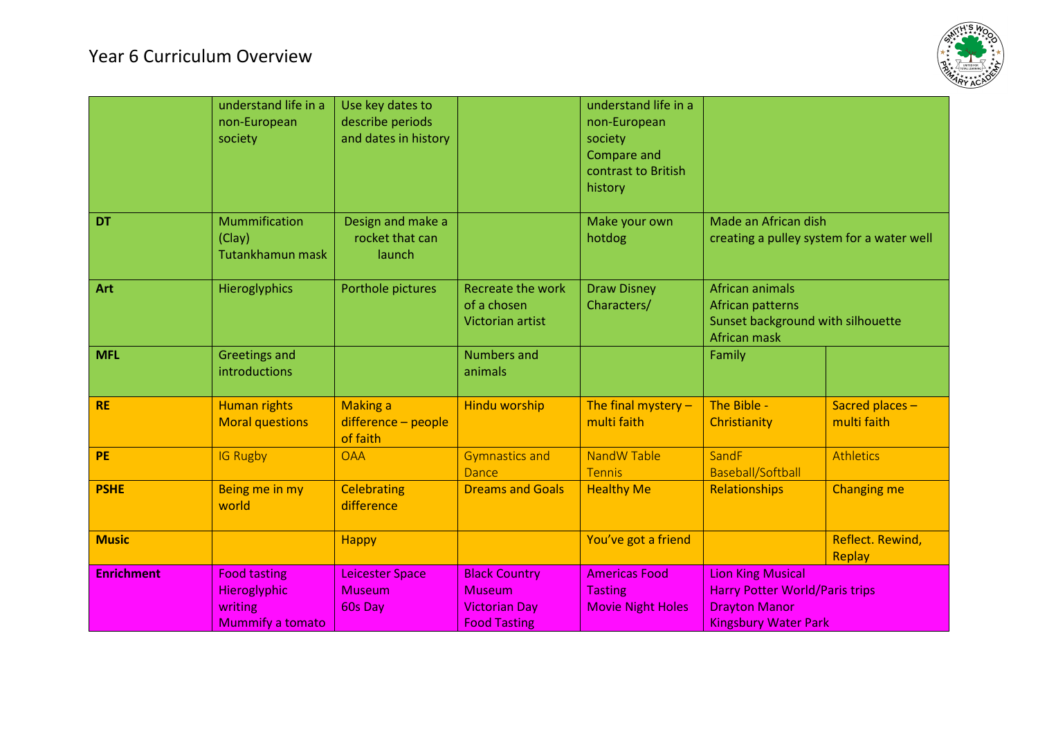## Year 6 Curriculum Overview



|                   | understand life in a<br>non-European<br>society                           | Use key dates to<br>describe periods<br>and dates in history |                                                                                      | understand life in a<br>non-European<br>society<br>Compare and<br>contrast to British<br>history |                                                                                                                          |                               |
|-------------------|---------------------------------------------------------------------------|--------------------------------------------------------------|--------------------------------------------------------------------------------------|--------------------------------------------------------------------------------------------------|--------------------------------------------------------------------------------------------------------------------------|-------------------------------|
| <b>DT</b>         | Mummification<br>(Clay)<br>Tutankhamun mask                               | Design and make a<br>rocket that can<br>launch               |                                                                                      | Make your own<br>hotdog                                                                          | Made an African dish<br>creating a pulley system for a water well                                                        |                               |
| Art               | Hieroglyphics                                                             | Porthole pictures                                            | <b>Recreate the work</b><br>of a chosen<br>Victorian artist                          | <b>Draw Disney</b><br>Characters/                                                                | African animals<br>African patterns<br>Sunset background with silhouette<br>African mask                                 |                               |
| <b>MFL</b>        | <b>Greetings and</b><br>introductions                                     |                                                              | <b>Numbers and</b><br>animals                                                        |                                                                                                  | Family                                                                                                                   |                               |
| <b>RE</b>         | <b>Human rights</b><br><b>Moral questions</b>                             | <b>Making a</b><br>difference - people<br>of faith           | <b>Hindu worship</b>                                                                 | The final mystery $-$<br>multi faith                                                             | The Bible -<br>Christianity                                                                                              | Sacred places-<br>multi faith |
| <b>PE</b>         | <b>IG Rugby</b>                                                           | <b>OAA</b>                                                   | <b>Gymnastics and</b><br>Dance                                                       | NandW Table<br><b>Tennis</b>                                                                     | SandF<br>Baseball/Softball                                                                                               | <b>Athletics</b>              |
| <b>PSHE</b>       | Being me in my<br>world                                                   | <b>Celebrating</b><br>difference                             | <b>Dreams and Goals</b>                                                              | <b>Healthy Me</b>                                                                                | Relationships                                                                                                            | <b>Changing me</b>            |
| <b>Music</b>      |                                                                           | <b>Happy</b>                                                 |                                                                                      | You've got a friend                                                                              |                                                                                                                          | Reflect. Rewind,<br>Replay    |
| <b>Enrichment</b> | <b>Food tasting</b><br>Hieroglyphic<br>writing<br><b>Mummify a tomato</b> | <b>Leicester Space</b><br><b>Museum</b><br>60s Day           | <b>Black Country</b><br><b>Museum</b><br><b>Victorian Day</b><br><b>Food Tasting</b> | <b>Americas Food</b><br><b>Tasting</b><br><b>Movie Night Holes</b>                               | <b>Lion King Musical</b><br><b>Harry Potter World/Paris trips</b><br><b>Drayton Manor</b><br><b>Kingsbury Water Park</b> |                               |